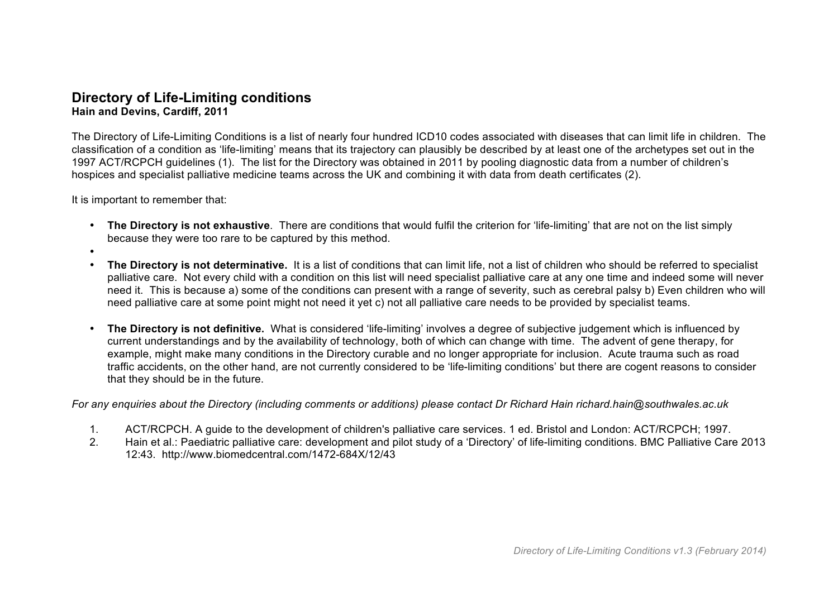## **Directory of Life-Limiting conditions Hain and Devins, Cardiff, 2011**

The Directory of Life-Limiting Conditions is a list of nearly four hundred ICD10 codes associated with diseases that can limit life in children. The classification of a condition as 'life-limiting' means that its trajectory can plausibly be described by at least one of the archetypes set out in the 1997 ACT/RCPCH guidelines (1). The list for the Directory was obtained in 2011 by pooling diagnostic data from a number of children's hospices and specialist palliative medicine teams across the UK and combining it with data from death certificates (2).

It is important to remember that:

- **The Directory is not exhaustive**. There are conditions that would fulfil the criterion for 'life-limiting' that are not on the list simply because they were too rare to be captured by this method.
- •
- **The Directory is not determinative.** It is a list of conditions that can limit life, not a list of children who should be referred to specialist palliative care. Not every child with a condition on this list will need specialist palliative care at any one time and indeed some will never need it. This is because a) some of the conditions can present with a range of severity, such as cerebral palsy b) Even children who will need palliative care at some point might not need it yet c) not all palliative care needs to be provided by specialist teams.
- **The Directory is not definitive.** What is considered 'life-limiting' involves a degree of subjective judgement which is influenced by current understandings and by the availability of technology, both of which can change with time. The advent of gene therapy, for example, might make many conditions in the Directory curable and no longer appropriate for inclusion. Acute trauma such as road traffic accidents, on the other hand, are not currently considered to be 'life-limiting conditions' but there are cogent reasons to consider that they should be in the future.

*For any enquiries about the Directory (including comments or additions) please contact Dr Richard Hain richard.hain@southwales.ac.uk*

- 1. ACT/RCPCH. A guide to the development of children's palliative care services. 1 ed. Bristol and London: ACT/RCPCH; 1997.
- 2. Hain et al.: Paediatric palliative care: development and pilot study of a 'Directory' of life-limiting conditions. BMC Palliative Care 2013 12:43. http://www.biomedcentral.com/1472-684X/12/43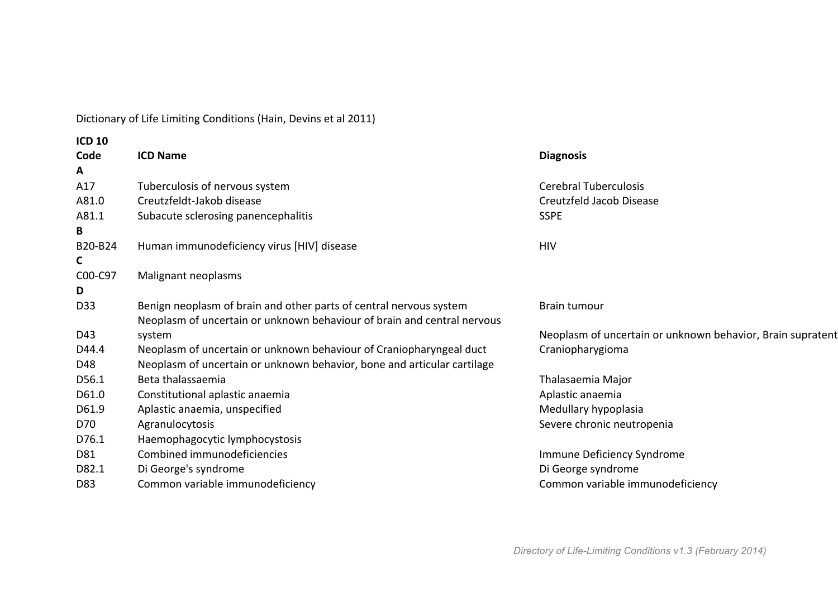Dictionary of Life Limiting Conditions (Hain, Devins et al 2011)

| <b>ICD 10</b> |                                                                         |                                                            |
|---------------|-------------------------------------------------------------------------|------------------------------------------------------------|
| Code          | <b>ICD Name</b>                                                         | <b>Diagnosis</b>                                           |
| A             |                                                                         |                                                            |
| A17           | Tuberculosis of nervous system                                          | <b>Cerebral Tuberculosis</b>                               |
| A81.0         | Creutzfeldt-Jakob disease                                               | Creutzfeld Jacob Disease                                   |
| A81.1         | Subacute sclerosing panencephalitis                                     | <b>SSPE</b>                                                |
| B.            |                                                                         |                                                            |
| B20-B24       | Human immunodeficiency virus [HIV] disease                              | <b>HIV</b>                                                 |
| C.            |                                                                         |                                                            |
| C00-C97       | Malignant neoplasms                                                     |                                                            |
| D.            |                                                                         |                                                            |
| D33           | Benign neoplasm of brain and other parts of central nervous system      | Brain tumour                                               |
|               | Neoplasm of uncertain or unknown behaviour of brain and central nervous |                                                            |
| D43           | system                                                                  | Neoplasm of uncertain or unknown behavior, Brain supratent |
| D44.4         | Neoplasm of uncertain or unknown behaviour of Craniopharyngeal duct     | Craniopharygioma                                           |
| D48           | Neoplasm of uncertain or unknown behavior, bone and articular cartilage |                                                            |
| D56.1         | Beta thalassaemia                                                       | Thalasaemia Major                                          |
| D61.0         | Constitutional aplastic anaemia                                         | Aplastic anaemia                                           |
| D61.9         | Aplastic anaemia, unspecified                                           | Medullary hypoplasia                                       |
| D70           | Agranulocytosis                                                         | Severe chronic neutropenia                                 |
| D76.1         | Haemophagocytic lymphocystosis                                          |                                                            |
| D81           | Combined immunodeficiencies                                             | Immune Deficiency Syndrome                                 |
| D82.1         | Di George's syndrome                                                    | Di George syndrome                                         |
| D83           | Common variable immunodeficiency                                        | Common variable immunodeficiency                           |
|               |                                                                         |                                                            |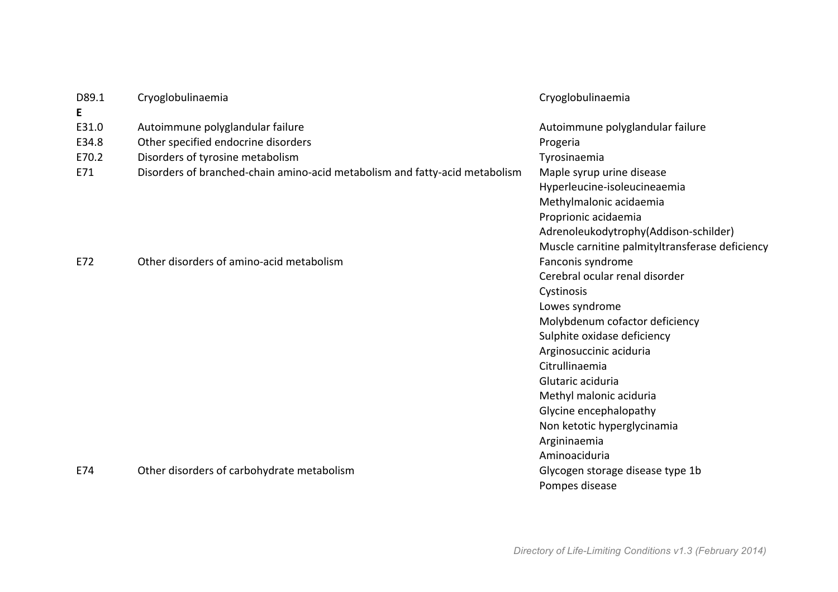| D89.1 | Cryoglobulinaemia                                                           | Cryoglobulinaemia                               |
|-------|-----------------------------------------------------------------------------|-------------------------------------------------|
| E     |                                                                             |                                                 |
| E31.0 | Autoimmune polyglandular failure                                            | Autoimmune polyglandular failure                |
| E34.8 | Other specified endocrine disorders                                         | Progeria                                        |
| E70.2 | Disorders of tyrosine metabolism                                            | Tyrosinaemia                                    |
| E71   | Disorders of branched-chain amino-acid metabolism and fatty-acid metabolism | Maple syrup urine disease                       |
|       |                                                                             | Hyperleucine-isoleucineaemia                    |
|       |                                                                             | Methylmalonic acidaemia                         |
|       |                                                                             | Proprionic acidaemia                            |
|       |                                                                             | Adrenoleukodytrophy(Addison-schilder)           |
|       |                                                                             | Muscle carnitine palmityltransferase deficiency |
| E72   | Other disorders of amino-acid metabolism                                    | Fanconis syndrome                               |
|       |                                                                             | Cerebral ocular renal disorder                  |
|       |                                                                             | Cystinosis                                      |
|       |                                                                             | Lowes syndrome                                  |
|       |                                                                             | Molybdenum cofactor deficiency                  |
|       |                                                                             | Sulphite oxidase deficiency                     |
|       |                                                                             | Arginosuccinic aciduria                         |
|       |                                                                             | Citrullinaemia                                  |
|       |                                                                             | Glutaric aciduria                               |
|       |                                                                             | Methyl malonic aciduria                         |
|       |                                                                             | Glycine encephalopathy                          |
|       |                                                                             | Non ketotic hyperglycinamia                     |
|       |                                                                             | Argininaemia                                    |
|       |                                                                             | Aminoaciduria                                   |
| E74   | Other disorders of carbohydrate metabolism                                  | Glycogen storage disease type 1b                |
|       |                                                                             | Pompes disease                                  |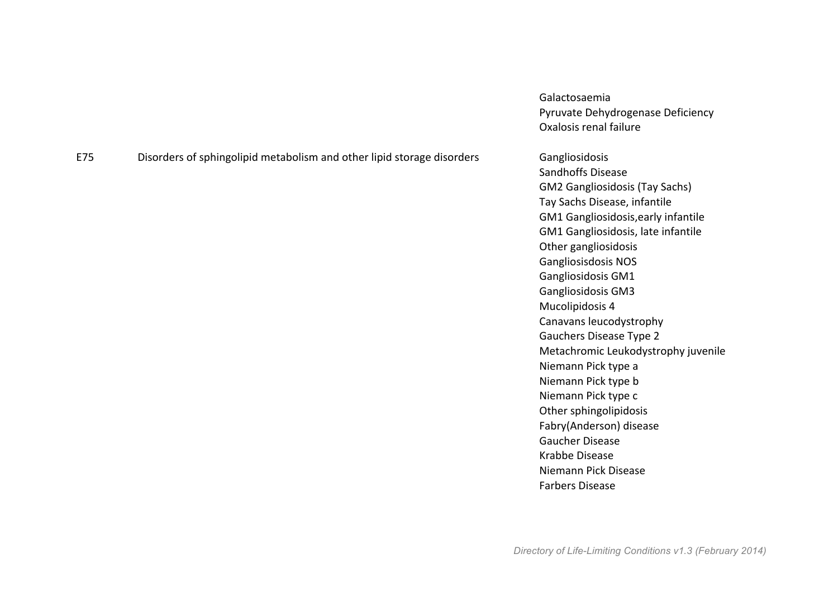|     |                                                                        | Oxalosis renal failure                |
|-----|------------------------------------------------------------------------|---------------------------------------|
| E75 | Disorders of sphingolipid metabolism and other lipid storage disorders | Gangliosidosis                        |
|     |                                                                        | <b>Sandhoffs Disease</b>              |
|     |                                                                        | <b>GM2 Gangliosidosis (Tay Sachs)</b> |
|     |                                                                        | Tay Sachs Disease, infantile          |
|     |                                                                        | GM1 Gangliosidosis, early infantile   |
|     |                                                                        | GM1 Gangliosidosis, late infantile    |
|     |                                                                        | Other gangliosidosis                  |
|     |                                                                        | <b>Gangliosisdosis NOS</b>            |
|     |                                                                        | Gangliosidosis GM1                    |
|     |                                                                        | Gangliosidosis GM3                    |
|     |                                                                        | Mucolipidosis 4                       |
|     |                                                                        | Canavans leucodystrophy               |
|     |                                                                        | <b>Gauchers Disease Type 2</b>        |
|     |                                                                        | Metachromic Leukodystrophy juvenile   |
|     |                                                                        | Niemann Pick type a                   |
|     |                                                                        | Niemann Pick type b                   |
|     |                                                                        | Niemann Pick type c                   |
|     |                                                                        | Other sphingolipidosis                |
|     |                                                                        | Fabry(Anderson) disease               |
|     |                                                                        | <b>Gaucher Disease</b>                |
|     |                                                                        | Krabbe Disease                        |
|     |                                                                        | Niemann Pick Disease                  |
|     |                                                                        | <b>Farbers Disease</b>                |
|     |                                                                        |                                       |

Galactosaemia

Pyruvate Dehydrogenase Deficiency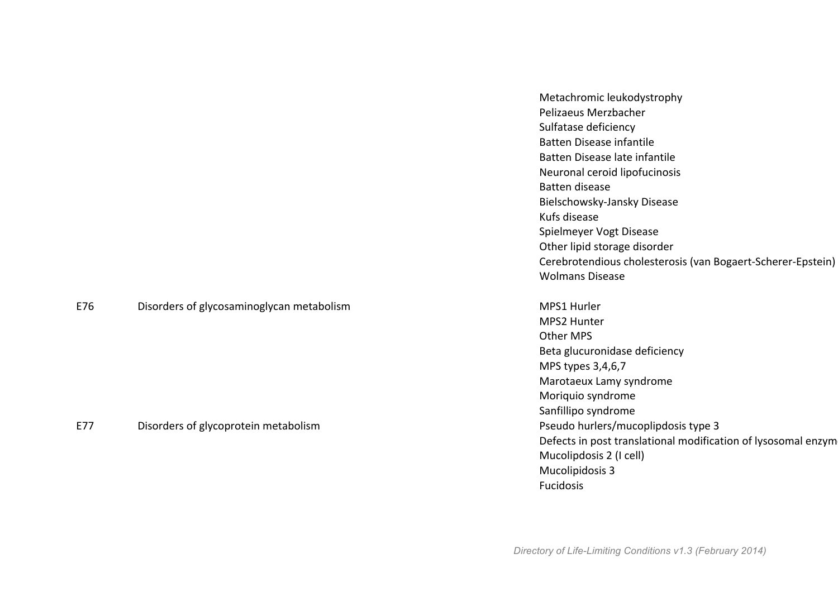| Metachromic leukodystrophy                                  |
|-------------------------------------------------------------|
| Pelizaeus Merzbacher                                        |
| Sulfatase deficiency                                        |
| Batten Disease infantile                                    |
| Batten Disease late infantile                               |
| Neuronal ceroid lipofucinosis                               |
| Batten disease                                              |
| Bielschowsky-Jansky Disease                                 |
| Kufs disease                                                |
| Spielmeyer Vogt Disease                                     |
| Other lipid storage disorder                                |
| Cerebrotendious cholesterosis (van Bogaert-Scherer-Epstein) |
| Wolmans Disease                                             |
|                                                             |

MPS2 Hunter Other MPS Beta glucuronidase deficiency MPS types 3,4,6,7 Marotaeux Lamy syndrome Moriquio syndrome Sanfillipo syndrome Defects in post translational modification of lysosomal enzym Mucolipdosis 2 (I cell) Mucolipidosis 3 Fucidosis

*Directory of Life-Limiting Conditions v1.3 (February 2014)*

E76 Disorders of glycosaminoglycan metabolism Disorders of glycosaminoglycan metabolism

E77 Disorders of glycoprotein metabolism **Disorders** of glycoprotein metabolism **Pseudo** hurlers/mucoplipdosis type 3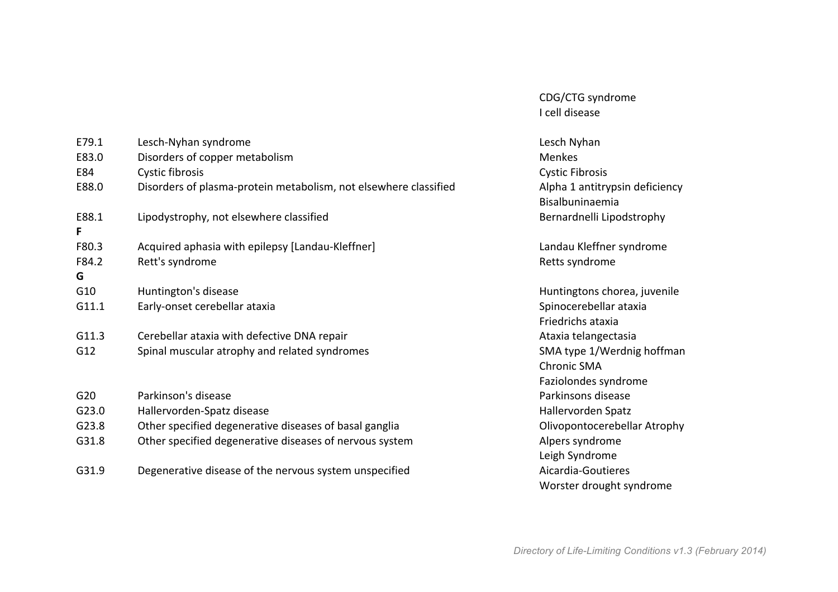| E79.1           | Lesch-Nyhan syndrome                                             | Lesch Nyhan                                       |
|-----------------|------------------------------------------------------------------|---------------------------------------------------|
| E83.0           | Disorders of copper metabolism                                   | <b>Menkes</b>                                     |
| E84             | Cystic fibrosis                                                  | <b>Cystic Fibrosis</b>                            |
| E88.0           | Disorders of plasma-protein metabolism, not elsewhere classified | Alpha 1 antitrypsin deficiency<br>Bisalbuninaemia |
| E88.1<br>F      | Lipodystrophy, not elsewhere classified                          | Bernardnelli Lipodstrophy                         |
| F80.3           | Acquired aphasia with epilepsy [Landau-Kleffner]                 | Landau Kleffner syndrome                          |
| F84.2           | Rett's syndrome                                                  | Retts syndrome                                    |
| G               |                                                                  |                                                   |
| G10             | Huntington's disease                                             | Huntingtons chorea, juvenile                      |
| G11.1           | Early-onset cerebellar ataxia                                    | Spinocerebellar ataxia                            |
|                 |                                                                  | Friedrichs ataxia                                 |
| G11.3           | Cerebellar ataxia with defective DNA repair                      | Ataxia telangectasia                              |
| G12             | Spinal muscular atrophy and related syndromes                    | SMA type 1/Werdnig hoffman                        |
|                 |                                                                  | <b>Chronic SMA</b>                                |
|                 |                                                                  | Faziolondes syndrome                              |
| G <sub>20</sub> | Parkinson's disease                                              | Parkinsons disease                                |
| G23.0           | Hallervorden-Spatz disease                                       | Hallervorden Spatz                                |
| G23.8           | Other specified degenerative diseases of basal ganglia           | Olivopontocerebellar Atrophy                      |
| G31.8           | Other specified degenerative diseases of nervous system          | Alpers syndrome                                   |
|                 |                                                                  | Leigh Syndrome                                    |
| G31.9           | Degenerative disease of the nervous system unspecified           | Aicardia-Goutieres                                |
|                 |                                                                  | Worster drought syndrome                          |

CDG/CTG syndrome I cell disease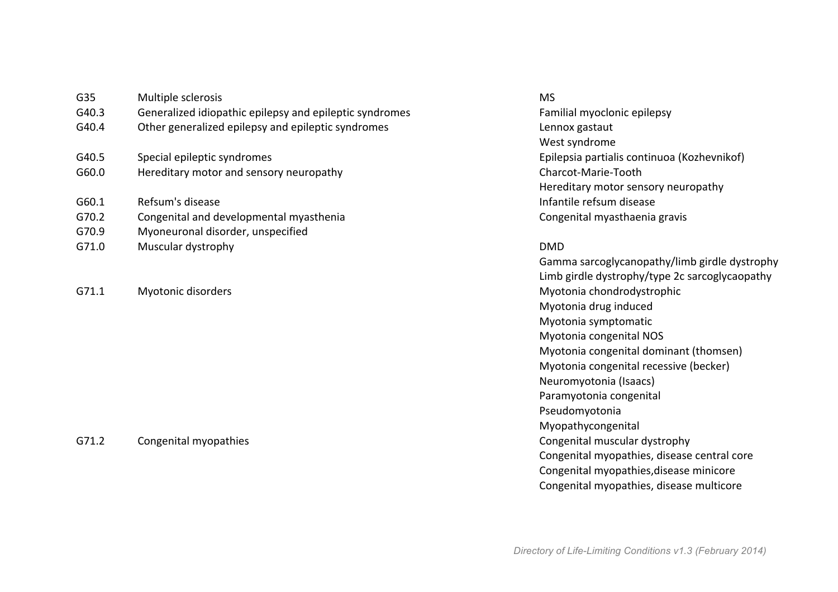| G35   | Multiple sclerosis                                      | <b>MS</b>  |
|-------|---------------------------------------------------------|------------|
| G40.3 | Generalized idiopathic epilepsy and epileptic syndromes | Fami       |
| G40.4 | Other generalized epilepsy and epileptic syndromes      | Lenn       |
|       |                                                         | West       |
| G40.5 | Special epileptic syndromes                             | Epile      |
| G60.0 | Hereditary motor and sensory neuropathy                 | Chard      |
|       |                                                         | Here       |
| G60.1 | Refsum's disease                                        | Infan      |
| G70.2 | Congenital and developmental myasthenia                 | Cong       |
| G70.9 | Myoneuronal disorder, unspecified                       |            |
| G71.0 | Muscular dystrophy                                      | <b>DMD</b> |
|       |                                                         |            |

G71.2 Congenital myopathies Congenital muscular dystrophy

nes **G40.3 Generalized** Familial myoclonic epilepsy Lennox gastaut West syndrome Epilepsia partialis continuoa (Kozhevnikof) Charcot-Marie-Tooth Hereditary motor sensory neuropathy Infantile refsum disease Congenital myasthaenia gravis

Gamma sarcoglycanopathy/limb girdle dystrophy Limb girdle dystrophy/type 2c sarcoglycaopathy G71.1 Myotonic disorders and the matrix of the Myotonia chondrodystrophic methods of the Myotonia chondrodystrophic Myotonia drug induced Myotonia symptomatic Myotonia congenital NOS Myotonia congenital dominant (thomsen) Myotonia congenital recessive (becker) Neuromyotonia (Isaacs) Paramyotonia congenital Pseudomyotonia Myopathycongenital Congenital myopathies, disease central core Congenital myopathies, disease minicore Congenital myopathies, disease multicore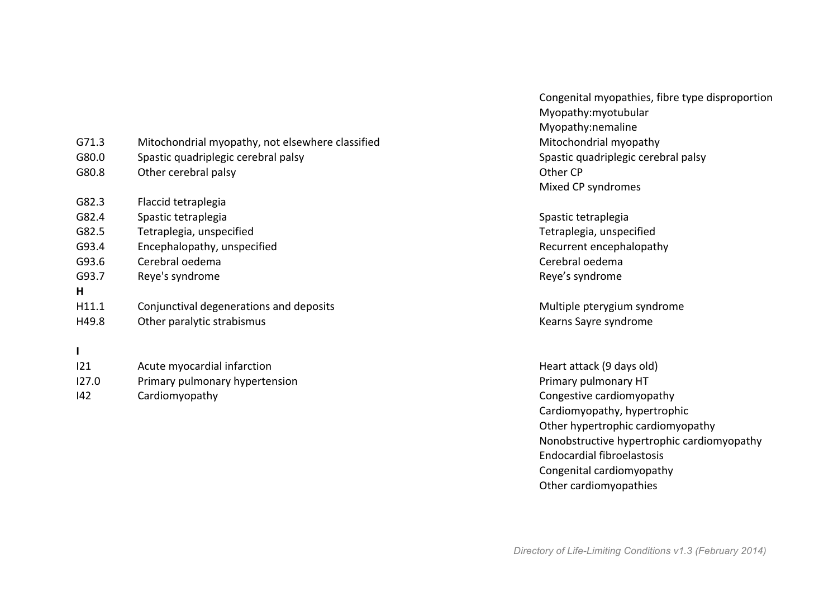| G71.3 | Mitochondrial myopathy, not elsewhere classified | Mitochondrial myopath    |
|-------|--------------------------------------------------|--------------------------|
| G80.0 | Spastic quadriplegic cerebral palsy              | Spastic quadriplegic ce  |
| G80.8 | Other cerebral palsy                             | Other CP                 |
|       |                                                  | Mixed CP syndromes       |
| G82.3 | Flaccid tetraplegia                              |                          |
| G82.4 | Spastic tetraplegia                              | Spastic tetraplegia      |
| G82.5 | Tetraplegia, unspecified                         | Tetraplegia, unspecifie  |
| G93.4 | Encephalopathy, unspecified                      | Recurrent encephalopa    |
| G93.6 | Cerebral oedema                                  | Cerebral oedema          |
| G93.7 | Reye's syndrome                                  | Reye's syndrome          |
| н     |                                                  |                          |
| H11.1 | Conjunctival degenerations and deposits          | Multiple pterygium syn   |
| H49.8 | Other paralytic strabismus                       | Kearns Sayre syndrome    |
|       |                                                  |                          |
| 121   | Acute myocardial infarction                      | Heart attack (9 days old |
| 127.0 | Primary pulmonary hypertension                   | Primary pulmonary HT     |

Congenital myopathies, fibre type disproportion Myopathy:myotubular Myopathy:nemaline ed external myopathy mitochondrial myopathy Spastic quadriplegic cerebral palsy Mixed CP syndromes

> Spastic tetraplegia Tetraplegia, unspecified Recurrent encephalopathy Cerebral oedema Reye's syndrome

Multiple pterygium syndrome Kearns Sayre syndrome

Heart attack (9 days old) I42 Cardiomyopathy Cardiomyopathy Cardiomyopathy, hypertrophic Other hypertrophic cardiomyopathy Nonobstructive hypertrophic cardiomyopathy Endocardial fibroelastosis Congenital cardiomyopathy Other cardiomyopathies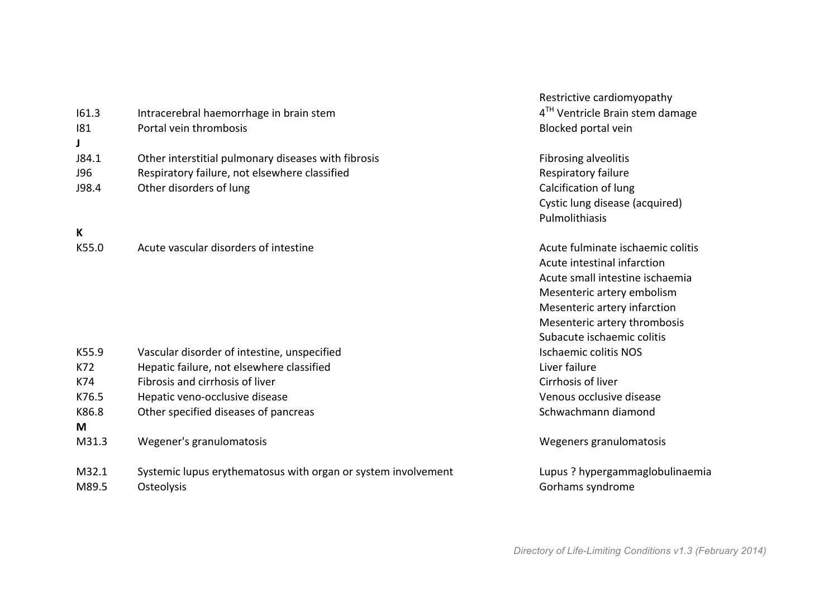|            |                                                               | Restrictive cardiomyopathy                  |
|------------|---------------------------------------------------------------|---------------------------------------------|
| 161.3      | Intracerebral haemorrhage in brain stem                       | 4 <sup>TH</sup> Ventricle Brain stem damage |
| 181        | Portal vein thrombosis                                        | Blocked portal vein                         |
| J84.1      | Other interstitial pulmonary diseases with fibrosis           | Fibrosing alveolitis                        |
| <b>J96</b> | Respiratory failure, not elsewhere classified                 | Respiratory failure                         |
| J98.4      | Other disorders of lung                                       | Calcification of lung                       |
|            |                                                               | Cystic lung disease (acquired)              |
|            |                                                               | Pulmolithiasis                              |
| K          |                                                               |                                             |
| K55.0      | Acute vascular disorders of intestine                         | Acute fulminate ischaemic colitis           |
|            |                                                               | Acute intestinal infarction                 |
|            |                                                               | Acute small intestine ischaemia             |
|            |                                                               | Mesenteric artery embolism                  |
|            |                                                               | Mesenteric artery infarction                |
|            |                                                               | Mesenteric artery thrombosis                |
|            |                                                               | Subacute ischaemic colitis                  |
| K55.9      | Vascular disorder of intestine, unspecified                   | <b>Ischaemic colitis NOS</b>                |
| K72        | Hepatic failure, not elsewhere classified                     | Liver failure                               |
| K74        | Fibrosis and cirrhosis of liver                               | Cirrhosis of liver                          |
| K76.5      | Hepatic veno-occlusive disease                                | Venous occlusive disease                    |
| K86.8      | Other specified diseases of pancreas                          | Schwachmann diamond                         |
| M          |                                                               |                                             |
| M31.3      | Wegener's granulomatosis                                      | Wegeners granulomatosis                     |
| M32.1      | Systemic lupus erythematosus with organ or system involvement | Lupus ? hypergammaglobulinaemia             |
| M89.5      | Osteolysis                                                    | Gorhams syndrome                            |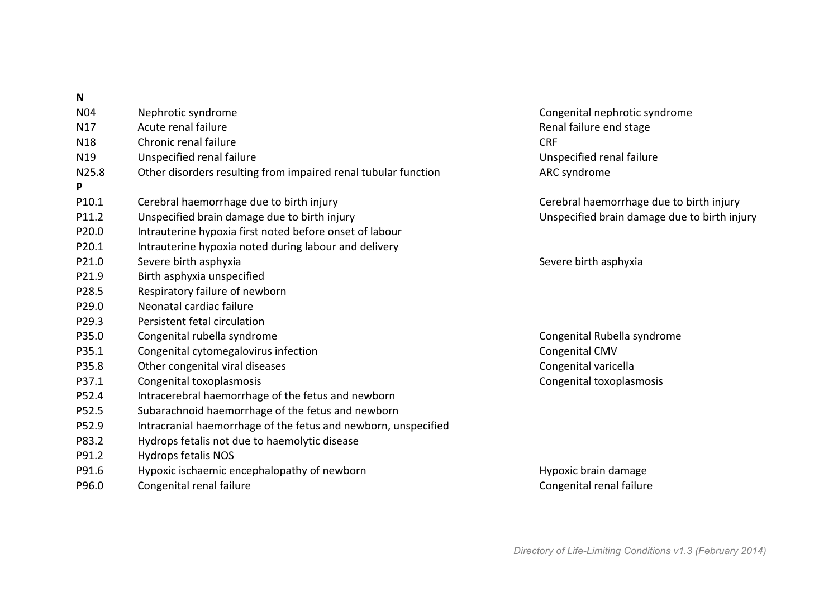| IV              |                                                                |                                              |
|-----------------|----------------------------------------------------------------|----------------------------------------------|
| <b>N04</b>      | Nephrotic syndrome                                             | Congenital nephrotic syndrome                |
| N17             | Acute renal failure                                            | Renal failure end stage                      |
| N <sub>18</sub> | Chronic renal failure                                          | <b>CRF</b>                                   |
| N19             | Unspecified renal failure                                      | Unspecified renal failure                    |
| N25.8           | Other disorders resulting from impaired renal tubular function | ARC syndrome                                 |
| P               |                                                                |                                              |
| P10.1           | Cerebral haemorrhage due to birth injury                       | Cerebral haemorrhage due to birth injury     |
| P11.2           | Unspecified brain damage due to birth injury                   | Unspecified brain damage due to birth injury |
| P20.0           | Intrauterine hypoxia first noted before onset of labour        |                                              |
| P20.1           | Intrauterine hypoxia noted during labour and delivery          |                                              |
| P21.0           | Severe birth asphyxia                                          | Severe birth asphyxia                        |
| P21.9           | Birth asphyxia unspecified                                     |                                              |
| P28.5           | Respiratory failure of newborn                                 |                                              |
| P29.0           | Neonatal cardiac failure                                       |                                              |
| P29.3           | Persistent fetal circulation                                   |                                              |
| P35.0           | Congenital rubella syndrome                                    | Congenital Rubella syndrome                  |
| P35.1           | Congenital cytomegalovirus infection                           | Congenital CMV                               |
| P35.8           | Other congenital viral diseases                                | Congenital varicella                         |
| P37.1           | Congenital toxoplasmosis                                       | Congenital toxoplasmosis                     |
| P52.4           | Intracerebral haemorrhage of the fetus and newborn             |                                              |
| P52.5           | Subarachnoid haemorrhage of the fetus and newborn              |                                              |
| P52.9           | Intracranial haemorrhage of the fetus and newborn, unspecified |                                              |
| P83.2           | Hydrops fetalis not due to haemolytic disease                  |                                              |
| P91.2           | <b>Hydrops fetalis NOS</b>                                     |                                              |
| P91.6           | Hypoxic ischaemic encephalopathy of newborn                    | Hypoxic brain damage                         |
| P96.0           | Congenital renal failure                                       | Congenital renal failure                     |
|                 |                                                                |                                              |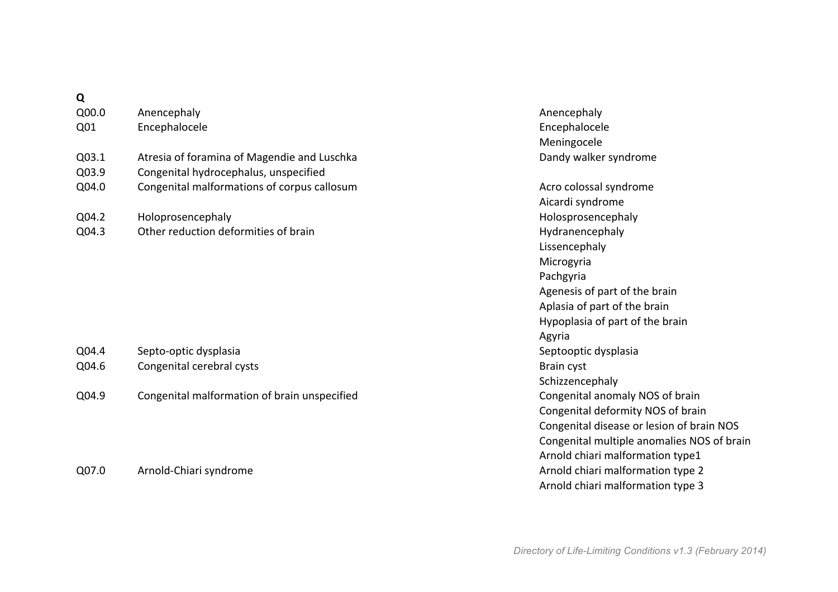## **Q**

| Q00.0 | Anencephaly                                 | Anencephaly        |
|-------|---------------------------------------------|--------------------|
| Q01   | Encephalocele                               | Encephalocele      |
|       |                                             | Meningocele        |
| Q03.1 | Atresia of foramina of Magendie and Luschka | Dandy walker syn   |
| Q03.9 | Congenital hydrocephalus, unspecified       |                    |
| Q04.0 | Congenital malformations of corpus callosum | Acro colossal sync |
|       |                                             | Aicardi syndrome   |
| Q04.2 | Holoprosencephaly                           | Holosprosencepha   |
| Q04.3 | Other reduction deformities of brain        | Hydranencephaly    |

| Q04.4 | Septo-optic dysplasia     | Septooptio |
|-------|---------------------------|------------|
| Q04.6 | Congenital cerebral cysts | Brain cyst |

Q04.9 Congenital malformation of brain unspecified Congenital anomaly NOS of brain

Anencephaly Encephalocele Meningocele a and the contract of the Dandy walker syndrome and  $\Omega$ **Congenital** Congenitations and Congenitations and Acro colossal syndrome Aicardi syndrome Holosprosencephaly Lissencephaly Microgyria Pachgyria Agenesis of part of the brain Aplasia of part of the brain Hypoplasia of part of the brain Agyria Septooptic dysplasia Schizzencephaly Congenital deformity NOS of brain Congenital disease or lesion of brain NOS Congenital multiple anomalies NOS of brain Arnold chiari malformation type1 Q07.0 Arnold-Chiari syndrome **Arnold-Chiari** syndrome **Arnold** chiari malformation type 2 Arnold chiari malformation type 3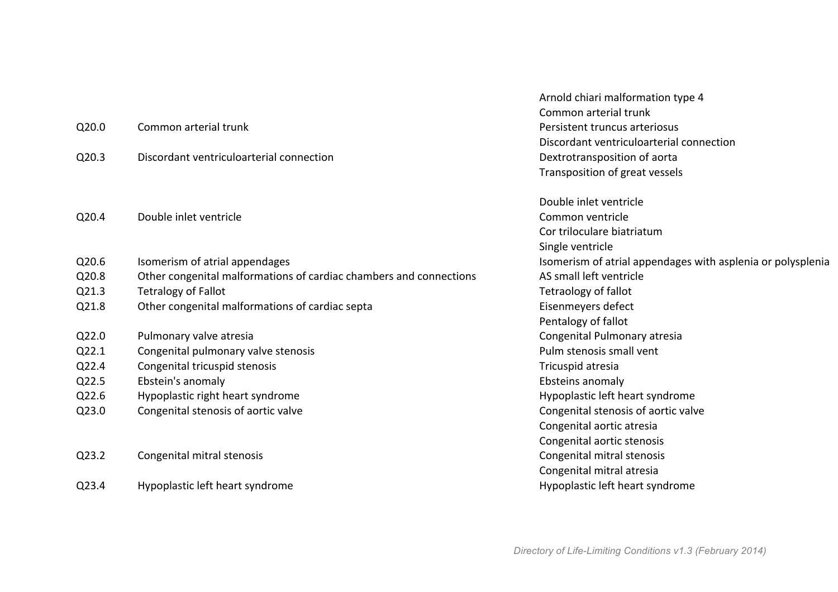|       |                                                                    | Arnold chiari malformation type 4                           |
|-------|--------------------------------------------------------------------|-------------------------------------------------------------|
|       |                                                                    | Common arterial trunk                                       |
| Q20.0 | Common arterial trunk                                              | Persistent truncus arteriosus                               |
|       |                                                                    | Discordant ventriculoarterial connection                    |
| Q20.3 | Discordant ventriculoarterial connection                           | Dextrotransposition of aorta                                |
|       |                                                                    | Transposition of great vessels                              |
|       |                                                                    | Double inlet ventricle                                      |
| Q20.4 | Double inlet ventricle                                             | Common ventricle                                            |
|       |                                                                    | Cor triloculare biatriatum                                  |
|       |                                                                    | Single ventricle                                            |
| Q20.6 | Isomerism of atrial appendages                                     | Isomerism of atrial appendages with asplenia or polysplenia |
| Q20.8 | Other congenital malformations of cardiac chambers and connections | AS small left ventricle                                     |
| Q21.3 | <b>Tetralogy of Fallot</b>                                         | Tetraology of fallot                                        |
| Q21.8 | Other congenital malformations of cardiac septa                    | Eisenmeyers defect                                          |
|       |                                                                    | Pentalogy of fallot                                         |
| Q22.0 | Pulmonary valve atresia                                            | Congenital Pulmonary atresia                                |
| Q22.1 | Congenital pulmonary valve stenosis                                | Pulm stenosis small vent                                    |
| Q22.4 | Congenital tricuspid stenosis                                      | Tricuspid atresia                                           |
| Q22.5 | Ebstein's anomaly                                                  | Ebsteins anomaly                                            |
| Q22.6 | Hypoplastic right heart syndrome                                   | Hypoplastic left heart syndrome                             |
| Q23.0 | Congenital stenosis of aortic valve                                | Congenital stenosis of aortic valve                         |
|       |                                                                    | Congenital aortic atresia                                   |
|       |                                                                    | Congenital aortic stenosis                                  |
| Q23.2 | Congenital mitral stenosis                                         | Congenital mitral stenosis                                  |
|       |                                                                    | Congenital mitral atresia                                   |
| Q23.4 | Hypoplastic left heart syndrome                                    | Hypoplastic left heart syndrome                             |
|       |                                                                    |                                                             |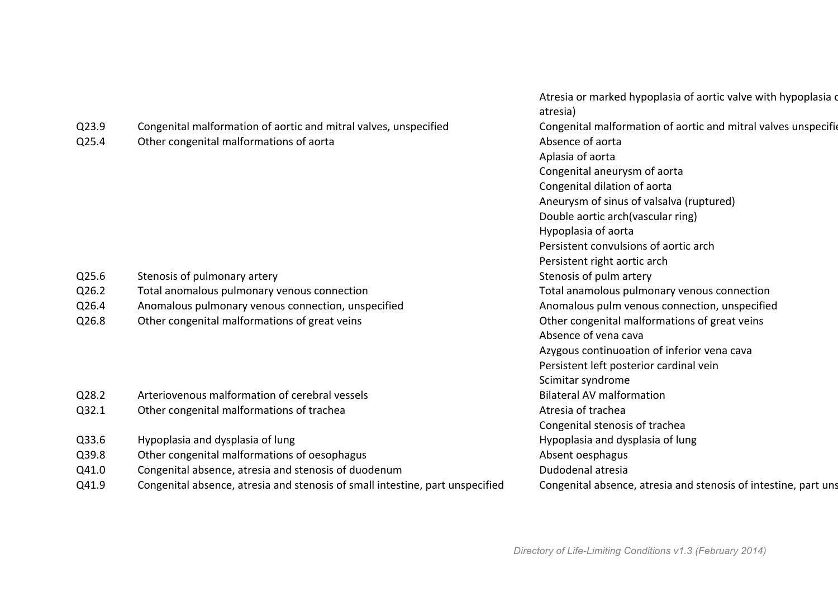|       |                                                                               | Atresia or marked hypoplasia of aortic valve with hypoplasia d<br>atresia) |
|-------|-------------------------------------------------------------------------------|----------------------------------------------------------------------------|
| Q23.9 | Congenital malformation of aortic and mitral valves, unspecified              | Congenital malformation of aortic and mitral valves unspecific             |
| Q25.4 | Other congenital malformations of aorta                                       | Absence of aorta                                                           |
|       |                                                                               | Aplasia of aorta                                                           |
|       |                                                                               | Congenital aneurysm of aorta                                               |
|       |                                                                               | Congenital dilation of aorta                                               |
|       |                                                                               | Aneurysm of sinus of valsalva (ruptured)                                   |
|       |                                                                               | Double aortic arch(vascular ring)                                          |
|       |                                                                               | Hypoplasia of aorta                                                        |
|       |                                                                               | Persistent convulsions of aortic arch                                      |
|       |                                                                               | Persistent right aortic arch                                               |
| Q25.6 | Stenosis of pulmonary artery                                                  | Stenosis of pulm artery                                                    |
| Q26.2 | Total anomalous pulmonary venous connection                                   | Total anamolous pulmonary venous connection                                |
| Q26.4 | Anomalous pulmonary venous connection, unspecified                            | Anomalous pulm venous connection, unspecified                              |
| Q26.8 | Other congenital malformations of great veins                                 | Other congenital malformations of great veins                              |
|       |                                                                               | Absence of vena cava                                                       |
|       |                                                                               | Azygous continuoation of inferior vena cava                                |
|       |                                                                               | Persistent left posterior cardinal vein                                    |
|       |                                                                               | Scimitar syndrome                                                          |
| Q28.2 | Arteriovenous malformation of cerebral vessels                                | <b>Bilateral AV malformation</b>                                           |
| Q32.1 | Other congenital malformations of trachea                                     | Atresia of trachea                                                         |
|       |                                                                               | Congenital stenosis of trachea                                             |
| Q33.6 | Hypoplasia and dysplasia of lung                                              | Hypoplasia and dysplasia of lung                                           |
| Q39.8 | Other congenital malformations of oesophagus                                  | Absent oesphagus                                                           |
| Q41.0 | Congenital absence, atresia and stenosis of duodenum                          | Dudodenal atresia                                                          |
| Q41.9 | Congenital absence, atresia and stenosis of small intestine, part unspecified | Congenital absence, atresia and stenosis of intestine, part uns            |
|       |                                                                               |                                                                            |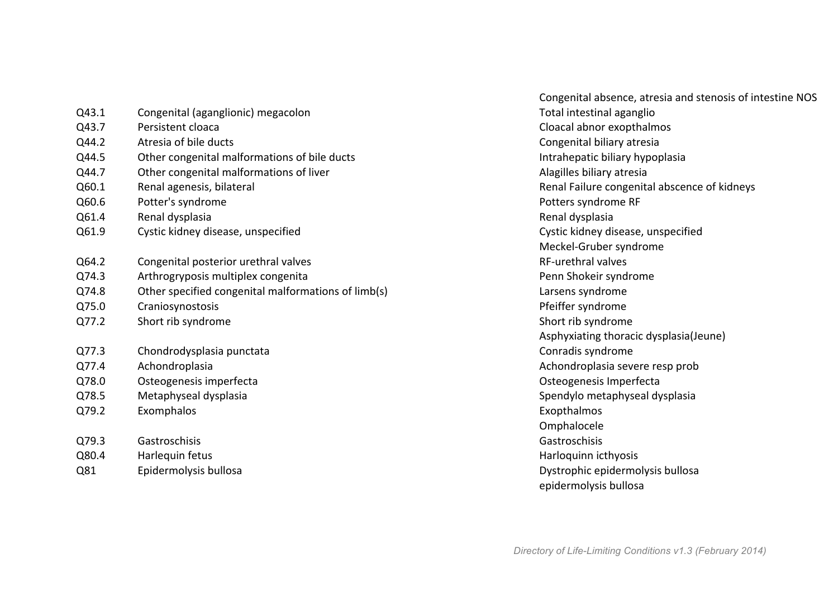| Q43.1 | Congenital (aganglionic) megacolon                  | Total intestin       |
|-------|-----------------------------------------------------|----------------------|
| Q43.7 | Persistent cloaca                                   | Cloacal abno         |
| Q44.2 | Atresia of bile ducts                               | Congenital bi        |
| Q44.5 | Other congenital malformations of bile ducts        | Intrahepatic         |
| Q44.7 | Other congenital malformations of liver             | Alagilles bilia      |
| Q60.1 | Renal agenesis, bilateral                           | <b>Renal Failure</b> |
| Q60.6 | Potter's syndrome                                   | Potters syndi        |
| Q61.4 | Renal dysplasia                                     | Renal dysplas        |
| Q61.9 | Cystic kidney disease, unspecified                  | Cystic kidney        |
|       |                                                     | Meckel-Grub          |
| Q64.2 | Congenital posterior urethral valves                | RF-urethral v        |
| Q74.3 | Arthrogryposis multiplex congenita                  | Penn Shokeir         |
| Q74.8 | Other specified congenital malformations of limb(s) | Larsens synd         |
| Q75.0 | Craniosynostosis                                    | Pfeiffer synd        |
| Q77.2 | Short rib syndrome                                  | Short rib syn        |
|       |                                                     | Asphyxiating         |
| Q77.3 | Chondrodysplasia punctata                           | Conradis syn         |
| Q77.4 | Achondroplasia                                      | Achondropla          |
| Q78.0 | Osteogenesis imperfecta                             | Osteogenesis         |
| Q78.5 | Metaphyseal dysplasia                               | Spendylo me          |
| Q79.2 | Exomphalos                                          | Exopthalmos          |
|       |                                                     | Omphalocele          |
| Q79.3 | Gastroschisis                                       | Gastroschisis        |
| Q80.4 | Harlequin fetus                                     | Harloquinn id        |
| Q81   | Epidermolysis bullosa                               | Dystrophic e         |

Congenital absence, atresia and stenosis of intestine NOS Total intestinal aganglio Cloacal abnor exopthalmos Congenital biliary atresia S<sub>44</sub>.5 Other congenital manufacture intrahepatic biliary hypoplasia Alagilles biliary atresia Renal Failure congenital abscence of kidneys Potters syndrome RF Renal dysplasia Cystic kidney disease, unspecified Meckel-Gruber syndrome Q64.2 Congenital posterior urethral valves RF-urethral valves Penn Shokeir syndrome limb(s) limb(s) and contact the contact of larsens syndrome Pfeiffer syndrome Short rib syndrome Asphyxiating thoracic dysplasia(Jeune) Conradis syndrome Achondroplasia severe resp prob Osteogenesis Imperfecta Spendylo metaphyseal dysplasia Exopthalmos Omphalocele Harloquinn icthyosis Dystrophic epidermolysis bullosa epidermolysis bullosa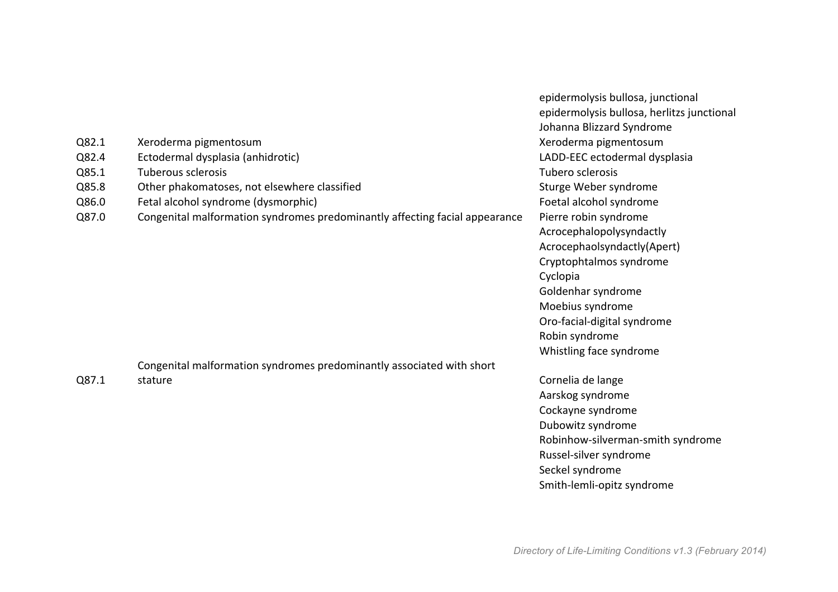|       |                                                                             | epidermolysis bullosa, junctional          |  |
|-------|-----------------------------------------------------------------------------|--------------------------------------------|--|
|       |                                                                             | epidermolysis bullosa, herlitzs junctional |  |
|       |                                                                             | Johanna Blizzard Syndrome                  |  |
| Q82.1 | Xeroderma pigmentosum                                                       | Xeroderma pigmentosum                      |  |
| Q82.4 | Ectodermal dysplasia (anhidrotic)                                           | LADD-EEC ectodermal dysplasia              |  |
| Q85.1 | Tuberous sclerosis                                                          | Tubero sclerosis                           |  |
| Q85.8 | Other phakomatoses, not elsewhere classified                                | Sturge Weber syndrome                      |  |
| Q86.0 | Fetal alcohol syndrome (dysmorphic)                                         | Foetal alcohol syndrome                    |  |
| Q87.0 | Congenital malformation syndromes predominantly affecting facial appearance | Pierre robin syndrome                      |  |
|       |                                                                             | Acrocephalopolysyndactly                   |  |
|       |                                                                             | Acrocephaolsyndactly(Apert)                |  |
|       |                                                                             | Cryptophtalmos syndrome                    |  |
|       |                                                                             | Cyclopia                                   |  |
|       |                                                                             | Goldenhar syndrome                         |  |
|       |                                                                             | Moebius syndrome                           |  |
|       |                                                                             | Oro-facial-digital syndrome                |  |
|       |                                                                             | Robin syndrome                             |  |
|       |                                                                             | Whistling face syndrome                    |  |
|       | Congenital malformation syndromes predominantly associated with short       |                                            |  |
| Q87.1 | stature                                                                     | Cornelia de lange                          |  |
|       |                                                                             | Aarskog syndrome                           |  |
|       |                                                                             | Cockayne syndrome                          |  |
|       |                                                                             | Dubowitz syndrome                          |  |
|       |                                                                             | Robinhow-silverman-smith syndrome          |  |
|       |                                                                             | Russel-silver syndrome                     |  |
|       |                                                                             | Seckel syndrome                            |  |
|       |                                                                             | Smith-lemli-opitz syndrome                 |  |
|       |                                                                             |                                            |  |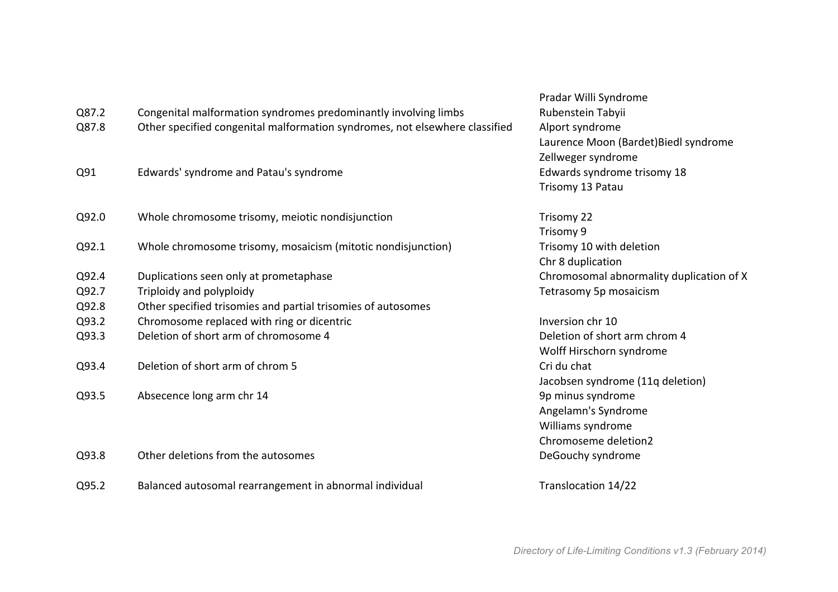| Pradar Willi Syndrome                    |
|------------------------------------------|
| Rubenstein Tabyii                        |
| Alport syndrome                          |
| Laurence Moon (Bardet) Biedl syndrome    |
| Zellweger syndrome                       |
| Edwards syndrome trisomy 18              |
| Trisomy 13 Patau                         |
| Trisomy 22                               |
| Trisomy 9                                |
| Trisomy 10 with deletion                 |
| Chr 8 duplication                        |
| Chromosomal abnormality duplication of X |
| Tetrasomy 5p mosaicism                   |
|                                          |
| Inversion chr 10                         |
| Deletion of short arm chrom 4            |
| Wolff Hirschorn syndrome                 |
| Cri du chat                              |
| Jacobsen syndrome (11q deletion)         |
| 9p minus syndrome                        |
| Angelamn's Syndrome                      |
| Williams syndrome                        |
| Chromoseme deletion2                     |
|                                          |
| DeGouchy syndrome                        |
|                                          |